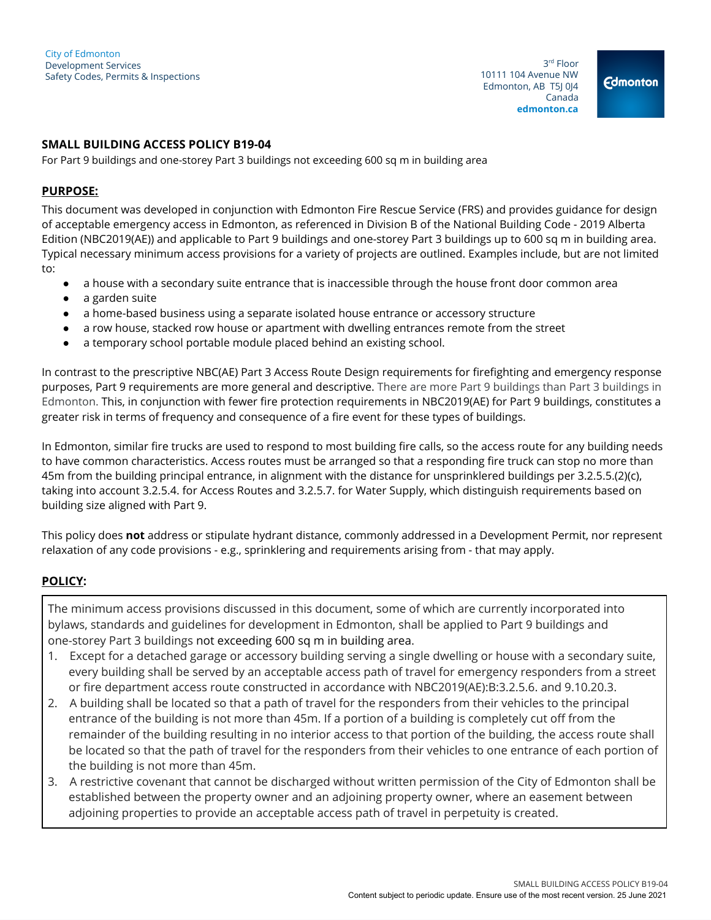3 rd Floor 10111 104 Avenue NW Edmonton, AB T5J 0J4 Canada **edmonton.ca**

**Edmonton** 

## **SMALL BUILDING ACCESS POLICY B19-04**

For Part 9 buildings and one-storey Part 3 buildings not exceeding 600 sq m in building area

## **PURPOSE:**

This document was developed in conjunction with Edmonton Fire Rescue Service (FRS) and provides guidance for design of acceptable emergency access in Edmonton, as referenced in Division B of the National Building Code - 2019 Alberta Edition (NBC2019(AE)) and applicable to Part 9 buildings and one-storey Part 3 buildings up to 600 sq m in building area. Typical necessary minimum access provisions for a variety of projects are outlined. Examples include, but are not limited to:

- a house with a secondary suite entrance that is inaccessible through the house front door common area
- a garden suite
- a home-based business using a separate isolated house entrance or accessory structure
- a row house, stacked row house or apartment with dwelling entrances remote from the street
- a temporary school portable module placed behind an existing school.

In contrast to the prescriptive NBC(AE) Part 3 Access Route Design requirements for firefighting and emergency response purposes, Part 9 requirements are more general and descriptive. There are more Part 9 buildings than Part 3 buildings in Edmonton. This, in conjunction with fewer fire protection requirements in NBC2019(AE) for Part 9 buildings, constitutes a greater risk in terms of frequency and consequence of a fire event for these types of buildings.

In Edmonton, similar fire trucks are used to respond to most building fire calls, so the access route for any building needs to have common characteristics. Access routes must be arranged so that a responding fire truck can stop no more than 45m from the building principal entrance, in alignment with the distance for unsprinklered buildings per 3.2.5.5.(2)(c), taking into account 3.2.5.4. for Access Routes and 3.2.5.7. for Water Supply, which distinguish requirements based on building size aligned with Part 9.

This policy does **not** address or stipulate hydrant distance, commonly addressed in a Development Permit, nor represent relaxation of any code provisions - e.g., sprinklering and requirements arising from - that may apply.

## **POLICY:**

The minimum access provisions discussed in this document, some of which are currently incorporated into bylaws, standards and guidelines for development in Edmonton, shall be applied to Part 9 buildings and one-storey Part 3 buildings not exceeding 600 sq m in building area.

- 1. Except for a detached garage or accessory building serving a single dwelling or house with a secondary suite, every building shall be served by an acceptable access path of travel for emergency responders from a street or fire department access route constructed in accordance with NBC2019(AE):B:3.2.5.6. and 9.10.20.3.
- 2. A building shall be located so that a path of travel for the responders from their vehicles to the principal entrance of the building is not more than 45m. If a portion of a building is completely cut off from the remainder of the building resulting in no interior access to that portion of the building, the access route shall be located so that the path of travel for the responders from their vehicles to one entrance of each portion of the building is not more than 45m.
- 3. A restrictive covenant that cannot be discharged without written permission of the City of Edmonton shall be established between the property owner and an adjoining property owner, where an easement between adjoining properties to provide an acceptable access path of travel in perpetuity is created.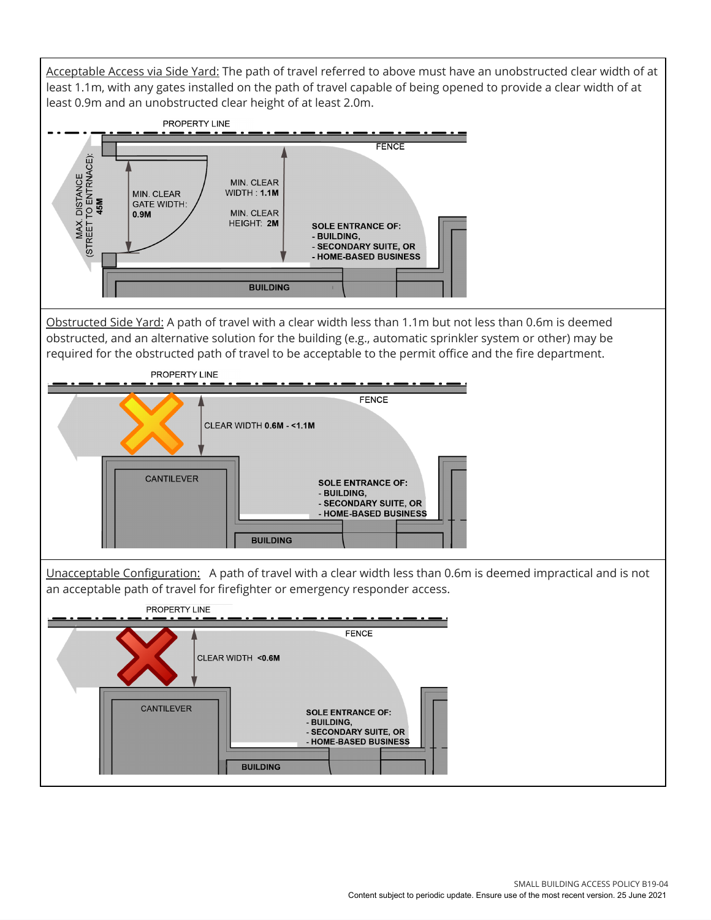Acceptable Access via Side Yard: The path of travel referred to above must have an unobstructed clear width of at least 1.1m, with any gates installed on the path of travel capable of being opened to provide a clear width of at least 0.9m and an unobstructed clear height of at least 2.0m.

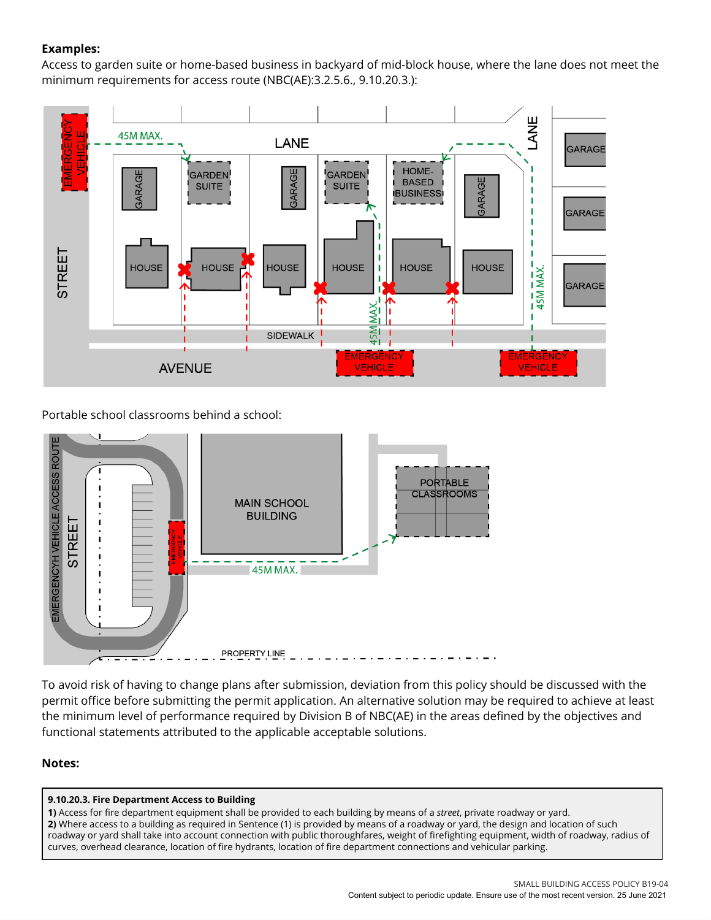# **Examples:**

Access to garden suite or home-based business in backyard of mid-block house, where the lane does not meet the minimum requirements for access route (NBC(AE):3.2.5.6., 9.10.20.3.):



Portable school classrooms behind a school:



To avoid risk of having to change plans after submission, deviation from this policy should be discussed with the permit office before submitting the permit application. An alternative solution may be required to achieve at least the minimum level of performance required by Division B of NBC(AE) in the areas defined by the objectives and functional statements attributed to the applicable acceptable solutions.

# **Notes:**

## **9.10.20.3. Fire Department Access to Building**

**1)** Access for fire department equipment shall be provided to each building by means of a *street*, private roadway or yard. **2)** Where access to a building as required in Sentence (1) is provided by means of a roadway or yard, the design and location of such roadway or yard shall take into account connection with public thoroughfares, weight of firefighting equipment, width of roadway, radius of curves, overhead clearance, location of fire hydrants, location of fire department connections and vehicular parking.